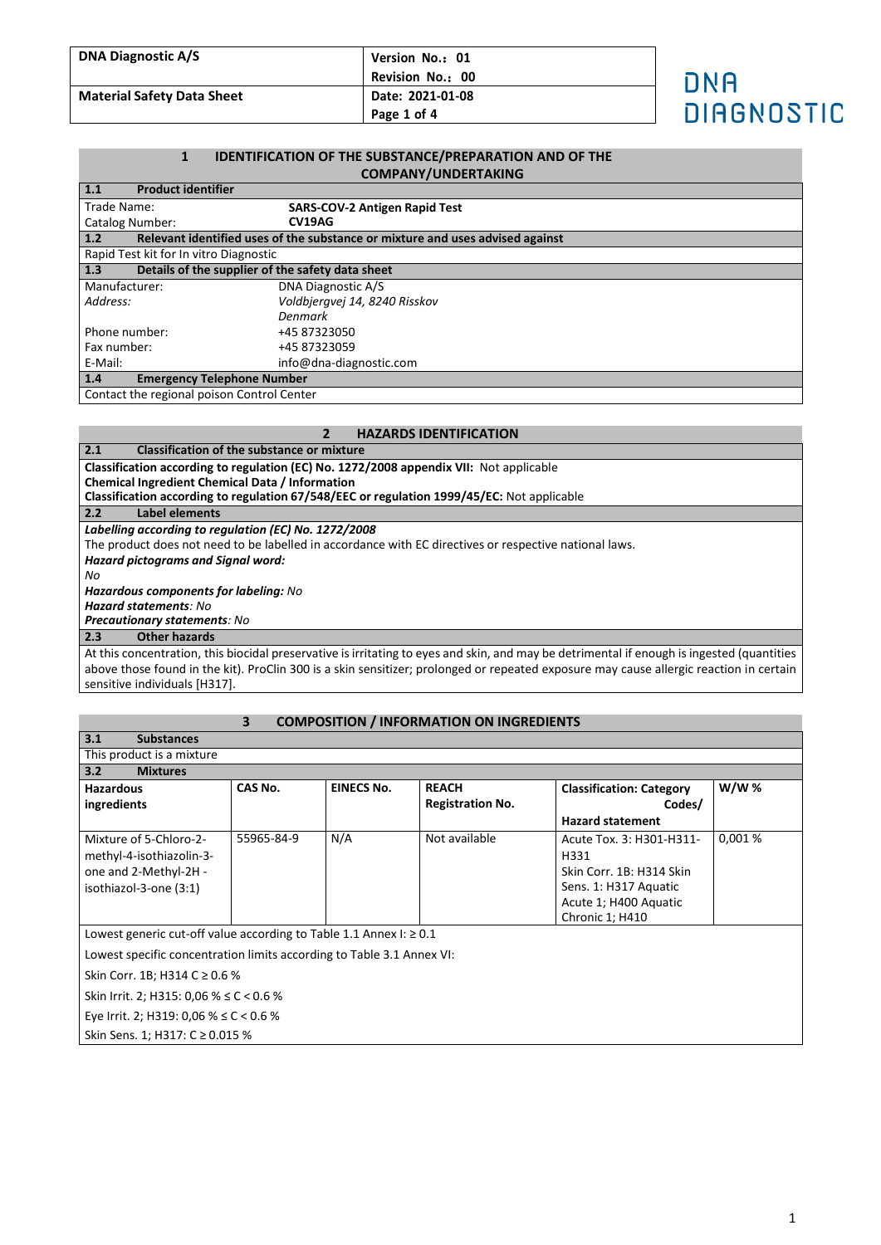| <b>DNA Diagnostic A/S</b>         | Version No.: 01  |                   |
|-----------------------------------|------------------|-------------------|
|                                   | Revision No.: 00 | חאה               |
| <b>Material Safety Data Sheet</b> | Date: 2021-01-08 |                   |
|                                   | Page 1 of 4      | <b>DIAGNOSTIC</b> |

### **1 IDENTIFICATION OF THE SUBSTANCE/PREPARATION AND OF THE COMPANY/UNDERTAKING**

| 1.1<br><b>Product identifier</b>                        |                                                                               |  |
|---------------------------------------------------------|-------------------------------------------------------------------------------|--|
| Trade Name:                                             | <b>SARS-COV-2 Antigen Rapid Test</b>                                          |  |
| <b>Catalog Number:</b>                                  | CV19AG                                                                        |  |
| 1.2                                                     | Relevant identified uses of the substance or mixture and uses advised against |  |
| Rapid Test kit for In vitro Diagnostic                  |                                                                               |  |
| 1.3<br>Details of the supplier of the safety data sheet |                                                                               |  |
| Manufacturer:                                           | DNA Diagnostic A/S                                                            |  |
| Address:                                                | Voldbjergvej 14, 8240 Risskov                                                 |  |
|                                                         | Denmark                                                                       |  |
| Phone number:                                           | +45 87323050                                                                  |  |
| Fax number:                                             | +45 87323059                                                                  |  |
| E-Mail:                                                 | info@dna-diagnostic.com                                                       |  |
| 1.4<br><b>Emergency Telephone Number</b>                |                                                                               |  |
| Contact the regional poison Control Center              |                                                                               |  |

### **2 HAZARDS IDENTIFICATION**

**2.1 Classification of the substance or mixture Classification according to regulation (EC) No. 1272/2008 appendix VII:** Not applicable

**Chemical Ingredient Chemical Data / Information**

**Classification according to regulation 67/548/EEC or regulation 1999/45/EC:** Not applicable

**2.2 Label elements**

*Labelling according to regulation (EC) No. 1272/2008*

The product does not need to be labelled in accordance with EC directives or respective national laws.

*Hazard pictograms and Signal word:*

*No*

*Hazardous components for labeling: No*

*Hazard statements: No*

*Precautionary statements: No* **2.3 Other hazards**

At this concentration, this biocidal preservative is irritating to eyes and skin, and may be detrimental if enough is ingested (quantities above those found in the kit). ProClin 300 is a skin sensitizer; prolonged or repeated exposure may cause allergic reaction in certain sensitive individuals [H317].

# **3 COMPOSITION / INFORMATION ON INGREDIENTS**

| 3.1<br><b>Substances</b>                                                |            |                   |                         |                                 |             |
|-------------------------------------------------------------------------|------------|-------------------|-------------------------|---------------------------------|-------------|
| This product is a mixture                                               |            |                   |                         |                                 |             |
| 3.2<br><b>Mixtures</b>                                                  |            |                   |                         |                                 |             |
| <b>Hazardous</b>                                                        | CAS No.    | <b>EINECS No.</b> | <b>REACH</b>            | <b>Classification: Category</b> | <b>W/W%</b> |
| ingredients                                                             |            |                   | <b>Registration No.</b> | Codes/                          |             |
|                                                                         |            |                   |                         | <b>Hazard statement</b>         |             |
| Mixture of 5-Chloro-2-                                                  | 55965-84-9 | N/A               | Not available           | Acute Tox. 3: H301-H311-        | 0,001%      |
| methyl-4-isothiazolin-3-                                                |            |                   |                         | H331                            |             |
| one and 2-Methyl-2H -                                                   |            |                   |                         | Skin Corr. 1B: H314 Skin        |             |
| isothiazol-3-one (3:1)                                                  |            |                   |                         | Sens. 1: H317 Aquatic           |             |
|                                                                         |            |                   |                         | Acute 1; H400 Aquatic           |             |
|                                                                         |            |                   |                         | Chronic 1; H410                 |             |
| Lowest generic cut-off value according to Table 1.1 Annex I: $\geq 0.1$ |            |                   |                         |                                 |             |
| Lowest specific concentration limits according to Table 3.1 Annex VI:   |            |                   |                         |                                 |             |
| Skin Corr. 1B; H314 C ≥ 0.6 %                                           |            |                   |                         |                                 |             |
| Skin Irrit. 2; H315: 0,06 % $\leq$ C < 0.6 %                            |            |                   |                         |                                 |             |
| Eye Irrit. 2; H319: 0,06 % $\leq$ C < 0.6 %                             |            |                   |                         |                                 |             |
| Skin Sens. 1; H317: C ≥ 0.015 %                                         |            |                   |                         |                                 |             |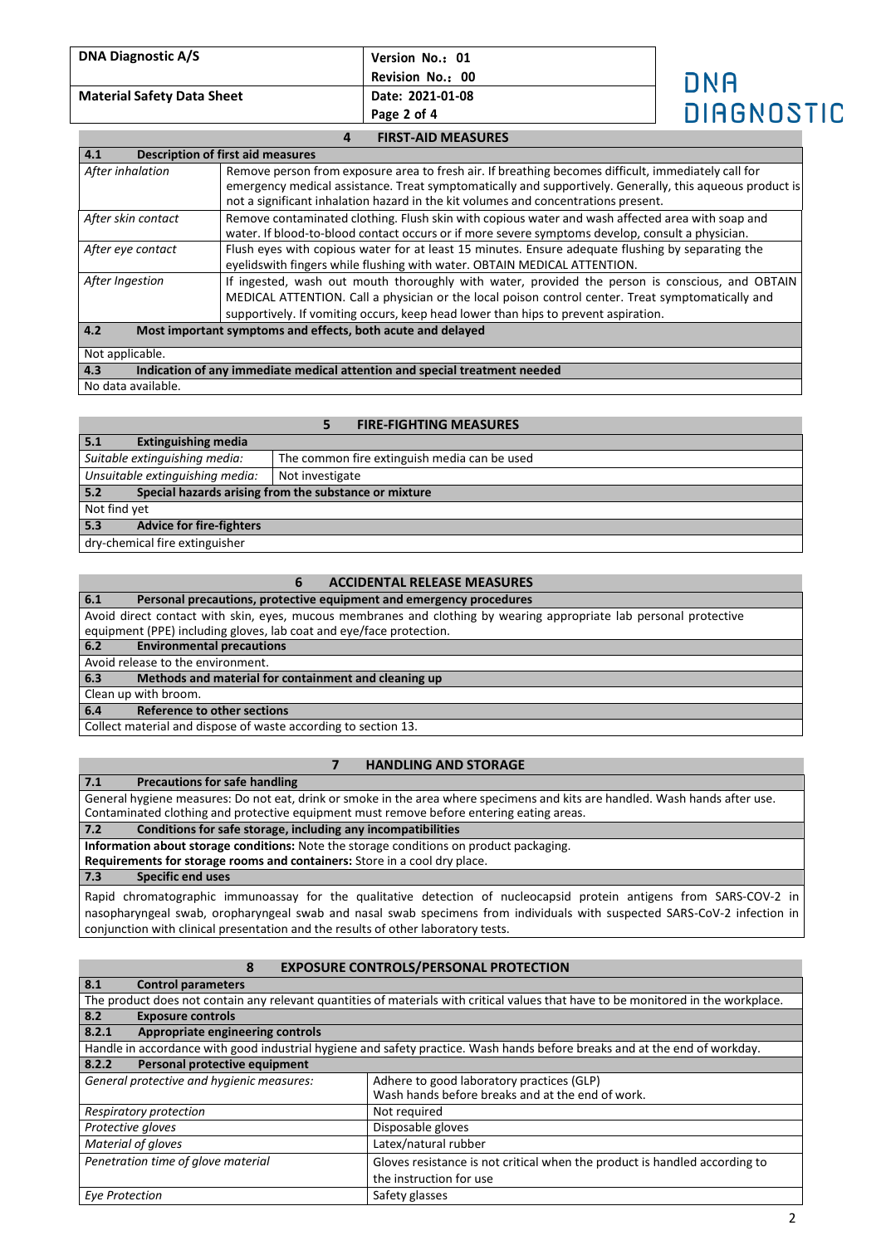| <b>DNA Diagnostic A/S</b>         | Version No.: 01<br>Revision No.: 00 | חאה        |
|-----------------------------------|-------------------------------------|------------|
| <b>Material Safety Data Sheet</b> | Date: 2021-01-08<br>Page 2 of 4     | DIAGNOSTIC |
|                                   | <b>FIRST-AID MEASURES</b>           |            |

| 4.1                | <b>Description of first aid measures</b>                                                                                                                                                                                                                                                   |  |  |
|--------------------|--------------------------------------------------------------------------------------------------------------------------------------------------------------------------------------------------------------------------------------------------------------------------------------------|--|--|
| After inhalation   | Remove person from exposure area to fresh air. If breathing becomes difficult, immediately call for<br>emergency medical assistance. Treat symptomatically and supportively. Generally, this aqueous product is                                                                            |  |  |
|                    | not a significant inhalation hazard in the kit volumes and concentrations present.                                                                                                                                                                                                         |  |  |
| After skin contact | Remove contaminated clothing. Flush skin with copious water and wash affected area with soap and<br>water. If blood-to-blood contact occurs or if more severe symptoms develop, consult a physician.                                                                                       |  |  |
| After eye contact  | Flush eyes with copious water for at least 15 minutes. Ensure adequate flushing by separating the<br>eyelidswith fingers while flushing with water. OBTAIN MEDICAL ATTENTION.                                                                                                              |  |  |
| After Ingestion    | If ingested, wash out mouth thoroughly with water, provided the person is conscious, and OBTAIN<br>MEDICAL ATTENTION. Call a physician or the local poison control center. Treat symptomatically and<br>supportively. If vomiting occurs, keep head lower than hips to prevent aspiration. |  |  |
| 4.2                | Most important symptoms and effects, both acute and delayed                                                                                                                                                                                                                                |  |  |
| Not applicable.    |                                                                                                                                                                                                                                                                                            |  |  |
| 4.3                | Indication of any immediate medical attention and special treatment needed                                                                                                                                                                                                                 |  |  |
| No data available. |                                                                                                                                                                                                                                                                                            |  |  |

### **5 FIRE-FIGHTING MEASURES**

| <b>Extinguishing media</b><br>5.1      |                                                       |
|----------------------------------------|-------------------------------------------------------|
| Suitable extinguishing media:          | The common fire extinguish media can be used          |
| Unsuitable extinguishing media:        | Not investigate                                       |
| 5.2                                    | Special hazards arising from the substance or mixture |
| Not find yet                           |                                                       |
| <b>Advice for fire-fighters</b><br>5.3 |                                                       |
| dry-chemical fire extinguisher         |                                                       |

## **6 ACCIDENTAL RELEASE MEASURES**

| 6.1<br>Personal precautions, protective equipment and emergency procedures                                         |  |
|--------------------------------------------------------------------------------------------------------------------|--|
| Avoid direct contact with skin, eyes, mucous membranes and clothing by wearing appropriate lab personal protective |  |
| equipment (PPE) including gloves, lab coat and eye/face protection.                                                |  |
| 6.2<br><b>Environmental precautions</b>                                                                            |  |
| Avoid release to the environment.                                                                                  |  |
| 6.3<br>Methods and material for containment and cleaning up                                                        |  |
| Clean up with broom.                                                                                               |  |

**6.4 Reference to other sections**

Collect material and dispose of waste according to section 13.

## **7 HANDLING AND STORAGE**

### **7.1 Precautions for safe handling**

General hygiene measures: Do not eat, drink or smoke in the area where specimens and kits are handled. Wash hands after use. Contaminated clothing and protective equipment must remove before entering eating areas.

**7.2 Conditions for safe storage, including any incompatibilities**

**Information about storage conditions:** Note the storage conditions on product packaging.

**Requirements for storage rooms and containers:** Store in a cool dry place.

**7.3 Specific end uses**

Rapid chromatographic immunoassay for the qualitative detection of nucleocapsid protein antigens from SARS-COV-2 in nasopharyngeal swab, oropharyngeal swab and nasal swab specimens from individuals with suspected SARS-CoV-2 infection in conjunction with clinical presentation and the results of other laboratory tests.

# **8 EXPOSURE CONTROLS/PERSONAL PROTECTION**

| 8.1<br><b>Control parameters</b>                                                       |                                                                                                                                    |  |  |  |
|----------------------------------------------------------------------------------------|------------------------------------------------------------------------------------------------------------------------------------|--|--|--|
|                                                                                        | The product does not contain any relevant quantities of materials with critical values that have to be monitored in the workplace. |  |  |  |
| 8.2<br><b>Exposure controls</b>                                                        |                                                                                                                                    |  |  |  |
| 8.2.1<br>Appropriate engineering controls                                              |                                                                                                                                    |  |  |  |
|                                                                                        | Handle in accordance with good industrial hygiene and safety practice. Wash hands before breaks and at the end of workday.         |  |  |  |
| Personal protective equipment<br>8.2.2                                                 |                                                                                                                                    |  |  |  |
| General protective and hygienic measures:<br>Adhere to good laboratory practices (GLP) |                                                                                                                                    |  |  |  |
|                                                                                        | Wash hands before breaks and at the end of work.                                                                                   |  |  |  |
| Respiratory protection                                                                 | Not required                                                                                                                       |  |  |  |
| Disposable gloves<br>Protective gloves                                                 |                                                                                                                                    |  |  |  |
| Material of gloves<br>Latex/natural rubber                                             |                                                                                                                                    |  |  |  |
| Penetration time of glove material                                                     | Gloves resistance is not critical when the product is handled according to                                                         |  |  |  |
|                                                                                        | the instruction for use                                                                                                            |  |  |  |
| Eye Protection                                                                         | Safety glasses                                                                                                                     |  |  |  |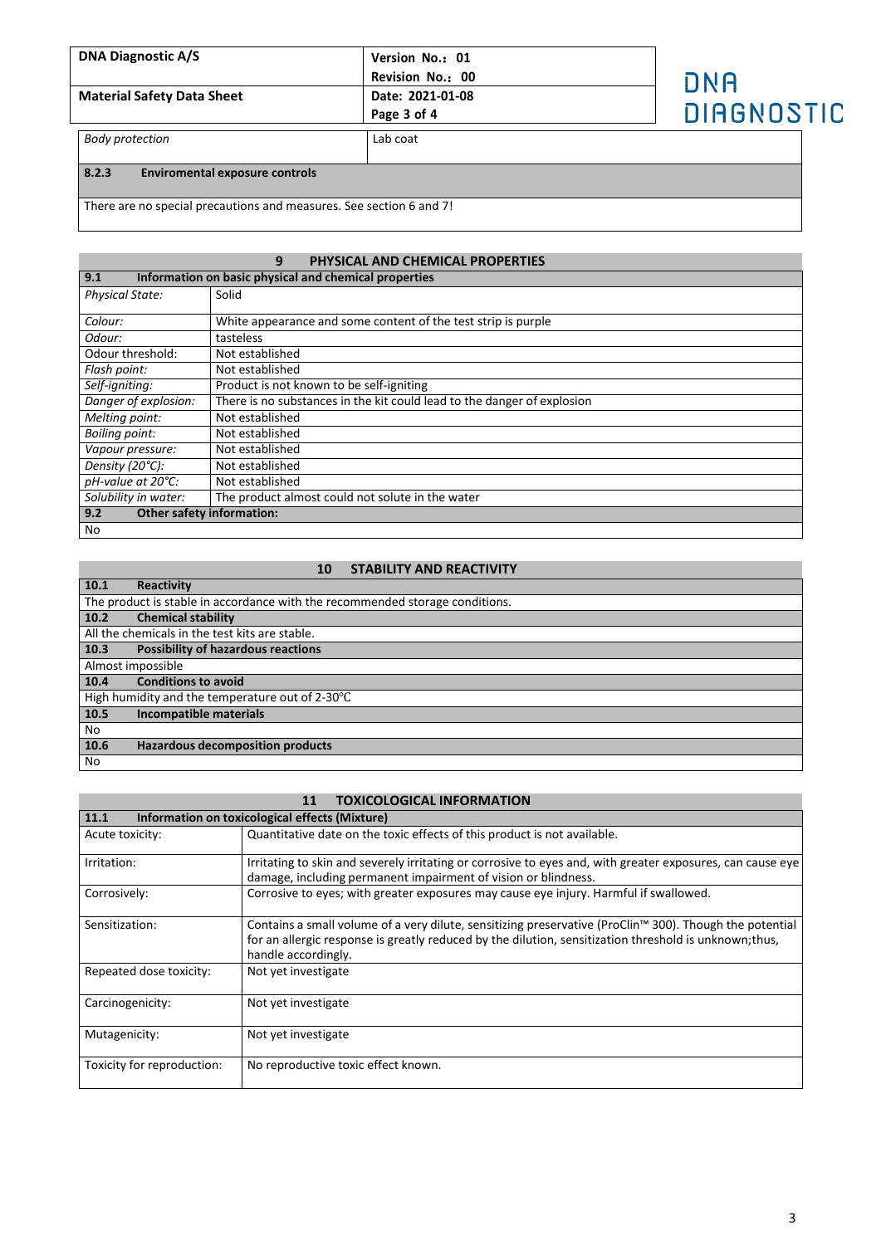| <b>DNA Diagnostic A/S</b><br><b>Material Safety Data Sheet</b> | Version No.: 01<br>Revision No.: 00<br>Date: 2021-01-08<br>Page 3 of 4 | DNA<br>DIAGNOSTIC |
|----------------------------------------------------------------|------------------------------------------------------------------------|-------------------|
| <b>Body protection</b>                                         | Lab coat                                                               |                   |
| 8.2.3<br><b>Enviromental exposure controls</b>                 |                                                                        |                   |

There are no special precautions and measures. See section 6 and 7!

## **9 PHYSICAL AND CHEMICAL PROPERTIES 9.1 Information on basic physical and chemical properties** Physical State: Solid **Colour:** White appearance and some content of the test strip is purple Odour: tasteless<br>Not established Odour threshold:<br>Flash point: **Flash point:** Not established<br> *Self-igniting:* Product is not k **Self-igniting:** Product is not known to be self-igniting<br> **Danger of explosion:** There is no substances in the kit could le There is no substances in the kit could lead to the danger of explosion *Melting point:* Not established **Boiling point:** Not established<br>
Vapour pressure: Not established *Vapour pressure:* Not established<br>*Density (20°C):* Not established *Density* (20°C): Not established<br>
pH-value at 20°C: Not established *pH-value at 20°C:*<br>Solubility in water: **Solubility in water:** The product almost could not solute in the water **9.2** Other safety information: **9.2 Other safety information:** No

## **10 STABILITY AND REACTIVITY**

| 10.1 | Reactivity                                                                   |
|------|------------------------------------------------------------------------------|
|      | The product is stable in accordance with the recommended storage conditions. |
| 10.2 | <b>Chemical stability</b>                                                    |
|      | All the chemicals in the test kits are stable.                               |
| 10.3 | <b>Possibility of hazardous reactions</b>                                    |
|      | Almost impossible                                                            |
| 10.4 | <b>Conditions to avoid</b>                                                   |
|      | High humidity and the temperature out of 2-30°C                              |
| 10.5 | Incompatible materials                                                       |
| No   |                                                                              |
| 10.6 | <b>Hazardous decomposition products</b>                                      |
| No   |                                                                              |

## **11 TOXICOLOGICAL INFORMATION**

| 11.1                       | Information on toxicological effects (Mixture)                                                                                                                                                                                           |
|----------------------------|------------------------------------------------------------------------------------------------------------------------------------------------------------------------------------------------------------------------------------------|
| Acute toxicity:            | Quantitative date on the toxic effects of this product is not available.                                                                                                                                                                 |
| Irritation:                | Irritating to skin and severely irritating or corrosive to eyes and, with greater exposures, can cause eye<br>damage, including permanent impairment of vision or blindness.                                                             |
| Corrosively:               | Corrosive to eyes; with greater exposures may cause eye injury. Harmful if swallowed.                                                                                                                                                    |
| Sensitization:             | Contains a small volume of a very dilute, sensitizing preservative (ProClin™ 300). Though the potential<br>for an allergic response is greatly reduced by the dilution, sensitization threshold is unknown; thus,<br>handle accordingly. |
| Repeated dose toxicity:    | Not yet investigate                                                                                                                                                                                                                      |
| Carcinogenicity:           | Not yet investigate                                                                                                                                                                                                                      |
| Mutagenicity:              | Not yet investigate                                                                                                                                                                                                                      |
| Toxicity for reproduction: | No reproductive toxic effect known.                                                                                                                                                                                                      |